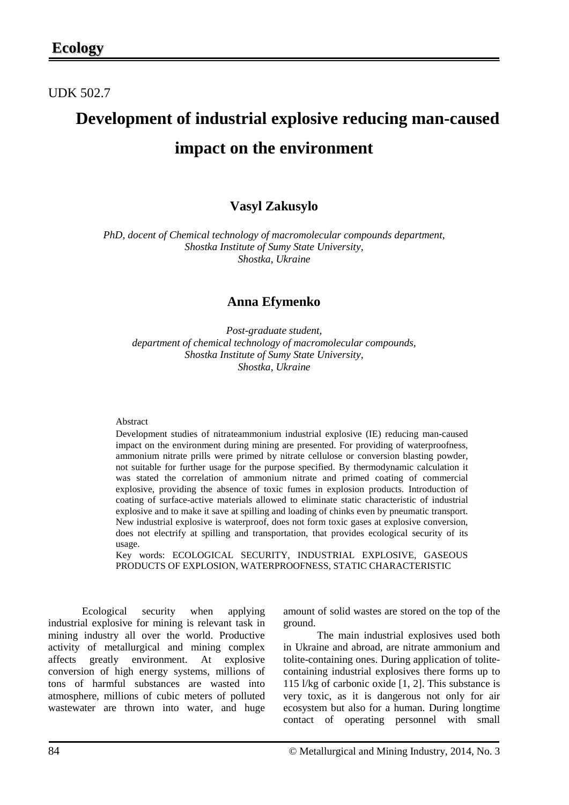## UDK 502.7

# **Development of industrial explosive reducing man-caused impact on the environment**

## **Vasyl Zakusylo**

*PhD, docent of Chemical technology of macromolecular compounds department, Shostka Institute of Sumy State University, Shostka, Ukraine*

### **Anna Efymenko**

*Post-graduate student, department of chemical technology of macromolecular compounds, Shostka Institute of Sumy State University, Shostka, Ukraine*

#### Abstract

Development studies of nitrateammonium industrial explosive (IE) reducing man-caused impact on the environment during mining are presented. For providing of waterproofness, ammonium nitrate prills were primed by nitrate cellulose or conversion blasting powder, not suitable for further usage for the purpose specified. By thermodynamic calculation it was stated the correlation of ammonium nitrate and primed coating of commercial explosive, providing the absence of toxic fumes in explosion products. Introduction of coating of surface-active materials allowed to eliminate static characteristic of industrial explosive and to make it save at spilling and loading of chinks even by pneumatic transport. New industrial explosive is waterproof, does not form toxic gases at explosive conversion, does not electrify at spilling and transportation, that provides ecological security of its usage.

Key words: ECOLOGICAL SECURITY, INDUSTRIAL EXPLOSIVE, GASEOUS PRODUCTS OF EXPLOSION, WATERPROOFNESS, STATIC CHARACTERISTIC

Ecological security when applying industrial explosive for mining is relevant task in mining industry all over the world. Productive activity of metallurgical and mining complex affects greatly environment. At explosive conversion of high energy systems, millions of tons of harmful substances are wasted into atmosphere, millions of cubic meters of polluted wastewater are thrown into water, and huge

amount of solid wastes are stored on the top of the ground.

The main industrial explosives used both in Ukraine and abroad, are nitrate ammonium and tolite-containing ones. During application of tolitecontaining industrial explosives there forms up to 115 l/kg of carbonic oxide [1, 2]. This substance is very toxic, as it is dangerous not only for air ecosystem but also for a human. During longtime contact of operating personnel with small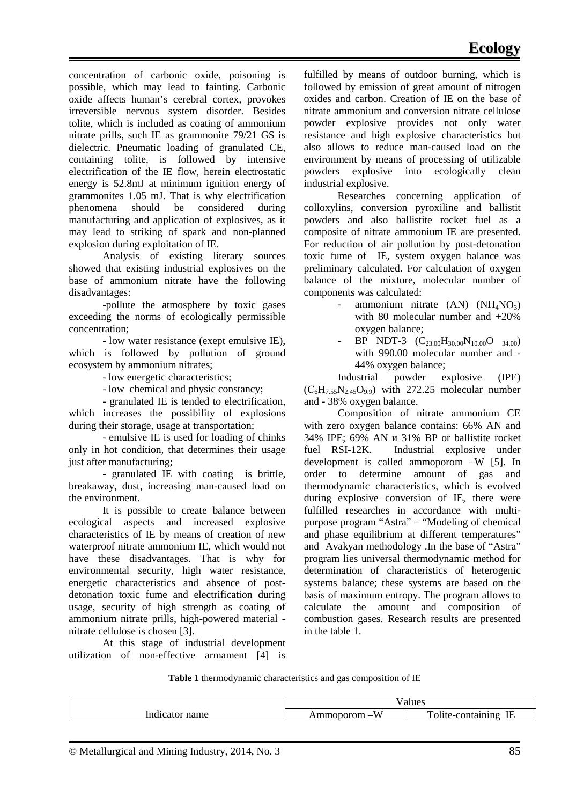concentration of carbonic oxide, poisoning is possible, which may lead to fainting. Carbonic oxide affects human's cerebral cortex, provokes irreversible nervous system disorder. Besides tolite, which is included as coating of ammonium nitrate prills, such IE as grammonite 79/21 GS is dielectric. Pneumatic loading of granulated CE, containing tolite, is followed by intensive electrification of the IE flow, herein electrostatic energy is 52.8mJ at minimum ignition energy of grammonites 1.05 mJ. That is why electrification phenomena should be considered during manufacturing and application of explosives, as it may lead to striking of spark and non-planned explosion during exploitation of IE.

Analysis of existing literary sources showed that existing industrial explosives on the base of ammonium nitrate have the following disadvantages:

-pollute the atmosphere by toxic gases exceeding the norms of ecologically permissible concentration;

- low water resistance (exept emulsive IE), which is followed by pollution of ground ecosystem by ammonium nitrates;

- low energetic characteristics;

- low chemical and physic constancy;

- granulated IE is tended to electrification, which increases the possibility of explosions during their storage, usage at transportation;

- emulsive IE is used for loading of chinks only in hot condition, that determines their usage just after manufacturing;

- granulated IE with coating is brittle, breakaway, dust, increasing man-caused load on the environment.

It is possible to create balance between ecological aspects and increased explosive characteristics of IE by means of creation of new waterproof nitrate ammonium IE, which would not have these disadvantages. That is why for environmental security, high water resistance, energetic characteristics and absence of postdetonation toxic fume and electrification during usage, security of high strength as coating of ammonium nitrate prills, high-powered material nitrate cellulose is chosen [3].

At this stage of industrial development utilization of non-effective armament [4] is fulfilled by means of outdoor burning, which is followed by emission of great amount of nitrogen oxides and carbon. Creation of IE on the base of nitrate ammonium and conversion nitrate cellulose powder explosive provides not only water resistance and high explosive characteristics but also allows to reduce man-caused load on the environment by means of processing of utilizable powders explosive into ecologically clean industrial explosive.

Researches concerning application of colloxylins, conversion pyroxiline and ballistit powders and also ballistite rocket fuel as a composite of nitrate ammonium IE are presented. For reduction of air pollution by post-detonation toxic fume of IE, system oxygen balance was preliminary calculated. For calculation of oxygen balance of the mixture, molecular number of components was calculated:

- ammonium nitrate  $(AN)$   $(NH<sub>4</sub>NO<sub>3</sub>)$ with 80 molecular number and +20% oxygen balance;
- BP NDT-3  $(C_{23.00}H_{30.00}N_{10.00}O_{34.00})$ with 990.00 molecular number and - 44% oxygen balance;

Industrial powder explosive (IPE)  $(C_6H_{7.55}N_{2.45}O_{9.9})$  with 272.25 molecular number and - 38% oxygen balance.

Composition of nitrate ammonium CE with zero oxygen balance contains: 66% AN and 34% IPE; 69% AN и 31% BP or ballistite rocket fuel RSI-12K. Industrial explosive under development is called ammoporom –W [5]. In order to determine amount of gas and thermodynamic characteristics, which is evolved during explosive conversion of IE, there were fulfilled researches in accordance with multipurpose program "Astra" – "Modeling of chemical and phase equilibrium at different temperatures" and Avakyan methodology .In the base of "Astra" program lies universal thermodynamic method for determination of characteristics of heterogenic systems balance; these systems are based on the basis of maximum entropy. The program allows to calculate the amount and composition of combustion gases. Research results are presented in the table 1.

**Table 1** thermodynamic characteristics and gas composition of IE

|                                 | $\sim$<br>ue                                      |                        |
|---------------------------------|---------------------------------------------------|------------------------|
| $\overline{\phantom{a}}$<br>.me | $- -$<br>$-W$<br>1 M L<br><b>AIODO"</b><br>,,,,,, | $-$<br>᠊᠇᠇<br>.<br>. . |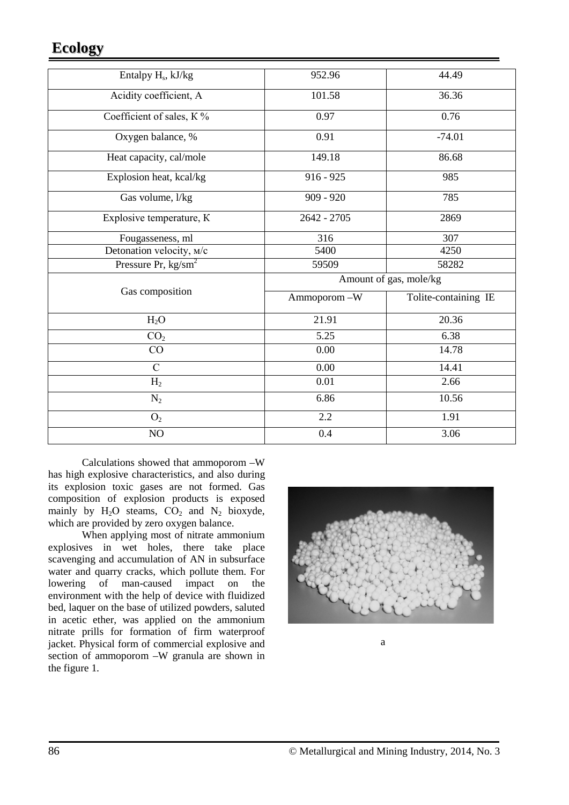# **Ecology**

| Entalpy H <sub>s</sub> , kJ/kg | 952.96                 | 44.49                |  |
|--------------------------------|------------------------|----------------------|--|
| Acidity coefficient, A         | 101.58                 | 36.36                |  |
| Coefficient of sales, K%       | 0.97                   | 0.76                 |  |
| Oxygen balance, %              | 0.91                   | $-74.01$             |  |
| Heat capacity, cal/mole        | 149.18                 | 86.68                |  |
| Explosion heat, kcal/kg        | $916 - 925$            | 985                  |  |
| Gas volume, l/kg               | $909 - 920$            | 785                  |  |
| Explosive temperature, K       | $2642 - 2705$          | 2869                 |  |
| Fougasseness, ml               | 316                    | 307                  |  |
| Detonation velocity, M/c       | 5400                   | 4250                 |  |
| Pressure Pr, $\text{kg/sm}^2$  | 59509                  | 58282                |  |
| Gas composition                | Amount of gas, mole/kg |                      |  |
|                                | Ammoporom-W            | Tolite-containing IE |  |
| $H_2O$                         | 21.91                  | 20.36                |  |
| CO <sub>2</sub>                | 5.25                   | 6.38                 |  |
| CO                             | 0.00                   | 14.78                |  |
| $\mathcal{C}$                  | 0.00                   | 14.41                |  |
| H <sub>2</sub>                 | 0.01                   | 2.66                 |  |
| $N_2$                          | 6.86                   | 10.56                |  |
| O <sub>2</sub>                 | 2.2                    | 1.91                 |  |
| $\rm NO$                       | 0.4                    | 3.06                 |  |

Calculations showed that ammoporom –W has high explosive characteristics, and also during its explosion toxic gases are not formed. Gas composition of explosion products is exposed mainly by  $H_2O$  steams,  $CO_2$  and  $N_2$  bioxyde, which are provided by zero oxygen balance.

When applying most of nitrate ammonium explosives in wet holes, there take place scavenging and accumulation of AN in subsurface water and quarry cracks, which pollute them. For lowering of man-caused impact on the environment with the help of device with fluidized bed, laquer on the base of utilized powders, saluted in acetic ether, was applied on the ammonium nitrate prills for formation of firm waterproof jacket. Physical form of commercial explosive and section of ammoporom –W granula are shown in the figure 1.



a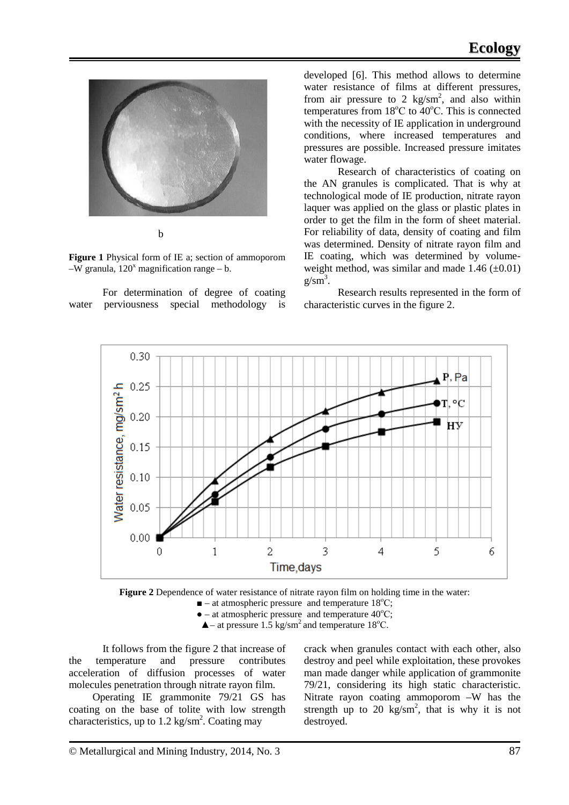

**Figure 1** Physical form of IE a; section of ammoporom  $-W$  granula,  $120<sup>x</sup>$  magnification range – b.

For determination of degree of coating water perviousness special methodology is developed [6]. This method allows to determine water resistance of films at different pressures, from air pressure to 2  $\text{kg/sm}^2$ , and also within temperatures from 18°C to 40°C. This is connected with the necessity of IE application in underground conditions, where increased temperatures and pressures are possible. Increased pressure imitates water flowage.

Research of characteristics of coating on the AN granules is complicated. That is why at technological mode of IE production, nitrate rayon laquer was applied on the glass or plastic plates in order to get the film in the form of sheet material. For reliability of data, density of coating and film was determined. Density of nitrate rayon film and IE coating, which was determined by volumeweight method, was similar and made  $1.46 (+0.01)$  $g/\text{sm}^3$ .

Research results represented in the form of characteristic curves in the figure 2.



**Figure 2** Dependence of water resistance of nitrate rayon film on holding time in the water:  $\blacksquare$  – at atmospheric pressure and temperature 18°C;  $\bullet$  – at atmospheric pressure and temperature 40 $\degree$ C;  $\triangle$  – at pressure 1.5 kg/sm<sup>2</sup> and temperature 18<sup>o</sup>C.

It follows from the figure 2 that increase of the temperature and pressure contributes acceleration of diffusion processes of water molecules penetration through nitrate rayon film.

 Operating IE grammonite 79/21 GS has coating on the base of tolite with low strength characteristics, up to  $1.2 \text{ kg/sm}^2$ . Coating may

crack when granules contact with each other, also destroy and peel while exploitation, these provokes man made danger while application of grammonite 79/21, considering its high static characteristic. Nitrate rayon coating ammoporom –W has the strength up to 20  $\text{kg/sm}^2$ , that is why it is not destroyed.